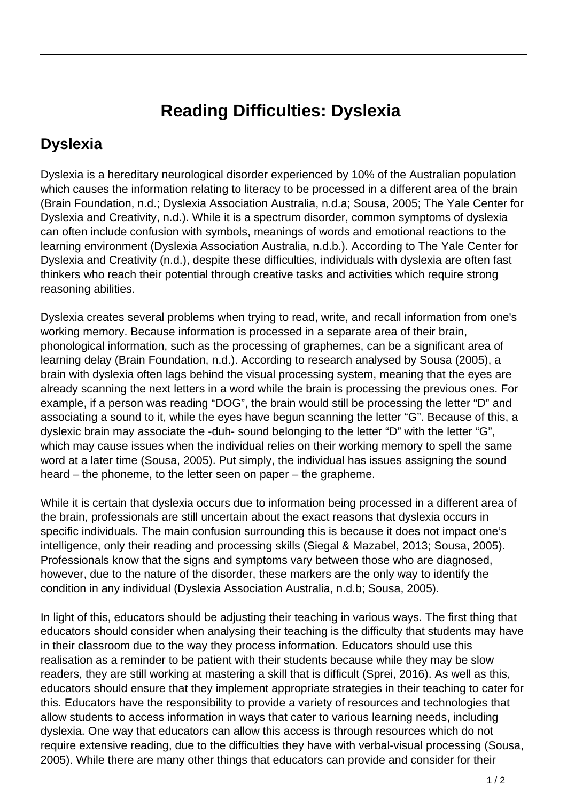## **Reading Difficulties: Dyslexia**

## **Dyslexia**

Dyslexia is a hereditary neurological disorder experienced by 10% of the Australian population which causes the information relating to literacy to be processed in a different area of the brain (Brain Foundation, n.d.; Dyslexia Association Australia, n.d.a; Sousa, 2005; The Yale Center for Dyslexia and Creativity, n.d.). While it is a spectrum disorder, common symptoms of dyslexia can often include confusion with symbols, meanings of words and emotional reactions to the learning environment (Dyslexia Association Australia, n.d.b.). According to The Yale Center for Dyslexia and Creativity (n.d.), despite these difficulties, individuals with dyslexia are often fast thinkers who reach their potential through creative tasks and activities which require strong reasoning abilities.

Dyslexia creates several problems when trying to read, write, and recall information from one's working memory. Because information is processed in a separate area of their brain, phonological information, such as the processing of graphemes, can be a significant area of learning delay (Brain Foundation, n.d.). According to research analysed by Sousa (2005), a brain with dyslexia often lags behind the visual processing system, meaning that the eyes are already scanning the next letters in a word while the brain is processing the previous ones. For example, if a person was reading "DOG", the brain would still be processing the letter "D" and associating a sound to it, while the eyes have begun scanning the letter "G". Because of this, a dyslexic brain may associate the -duh- sound belonging to the letter "D" with the letter "G", which may cause issues when the individual relies on their working memory to spell the same word at a later time (Sousa, 2005). Put simply, the individual has issues assigning the sound heard – the phoneme, to the letter seen on paper – the grapheme.

While it is certain that dyslexia occurs due to information being processed in a different area of the brain, professionals are still uncertain about the exact reasons that dyslexia occurs in specific individuals. The main confusion surrounding this is because it does not impact one's intelligence, only their reading and processing skills (Siegal & Mazabel, 2013; Sousa, 2005). Professionals know that the signs and symptoms vary between those who are diagnosed, however, due to the nature of the disorder, these markers are the only way to identify the condition in any individual (Dyslexia Association Australia, n.d.b; Sousa, 2005).

In light of this, educators should be adjusting their teaching in various ways. The first thing that educators should consider when analysing their teaching is the difficulty that students may have in their classroom due to the way they process information. Educators should use this realisation as a reminder to be patient with their students because while they may be slow readers, they are still working at mastering a skill that is difficult (Sprei, 2016). As well as this, educators should ensure that they implement appropriate strategies in their teaching to cater for this. Educators have the responsibility to provide a variety of resources and technologies that allow students to access information in ways that cater to various learning needs, including dyslexia. One way that educators can allow this access is through resources which do not require extensive reading, due to the difficulties they have with verbal-visual processing (Sousa, 2005). While there are many other things that educators can provide and consider for their